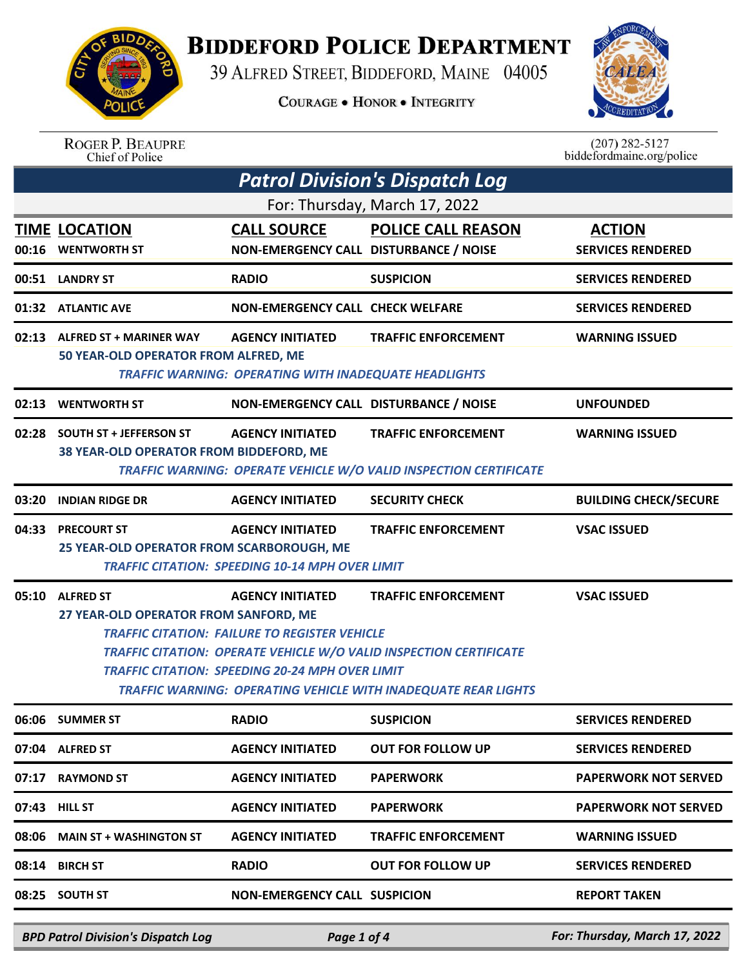

## **BIDDEFORD POLICE DEPARTMENT**

39 ALFRED STREET, BIDDEFORD, MAINE 04005

**COURAGE . HONOR . INTEGRITY** 



| <b>ROGER P. BEAUPRE</b> |
|-------------------------|
| Chief of Police         |

 $(207)$  282-5127<br>biddefordmaine.org/police

| <b>Patrol Division's Dispatch Log</b> |                                                                                                                                                                                                                                                                                                                                                                                                                  |                                                                                         |                                                                   |                                           |  |
|---------------------------------------|------------------------------------------------------------------------------------------------------------------------------------------------------------------------------------------------------------------------------------------------------------------------------------------------------------------------------------------------------------------------------------------------------------------|-----------------------------------------------------------------------------------------|-------------------------------------------------------------------|-------------------------------------------|--|
|                                       |                                                                                                                                                                                                                                                                                                                                                                                                                  |                                                                                         | For: Thursday, March 17, 2022                                     |                                           |  |
|                                       | <b>TIME LOCATION</b><br>00:16 WENTWORTH ST                                                                                                                                                                                                                                                                                                                                                                       | <b>CALL SOURCE</b><br>NON-EMERGENCY CALL DISTURBANCE / NOISE                            | <b>POLICE CALL REASON</b>                                         | <b>ACTION</b><br><b>SERVICES RENDERED</b> |  |
|                                       | 00:51 LANDRY ST                                                                                                                                                                                                                                                                                                                                                                                                  | <b>RADIO</b>                                                                            | <b>SUSPICION</b>                                                  | <b>SERVICES RENDERED</b>                  |  |
|                                       | 01:32 ATLANTIC AVE                                                                                                                                                                                                                                                                                                                                                                                               | <b>NON-EMERGENCY CALL CHECK WELFARE</b>                                                 |                                                                   | <b>SERVICES RENDERED</b>                  |  |
|                                       | 02:13 ALFRED ST + MARINER WAY<br>50 YEAR-OLD OPERATOR FROM ALFRED, ME                                                                                                                                                                                                                                                                                                                                            | <b>AGENCY INITIATED</b><br><b>TRAFFIC WARNING: OPERATING WITH INADEQUATE HEADLIGHTS</b> | <b>TRAFFIC ENFORCEMENT</b>                                        | <b>WARNING ISSUED</b>                     |  |
| 02:13                                 | <b>WENTWORTH ST</b>                                                                                                                                                                                                                                                                                                                                                                                              | NON-EMERGENCY CALL DISTURBANCE / NOISE                                                  |                                                                   | <b>UNFOUNDED</b>                          |  |
|                                       | 02:28 SOUTH ST + JEFFERSON ST<br>38 YEAR-OLD OPERATOR FROM BIDDEFORD, ME                                                                                                                                                                                                                                                                                                                                         | <b>AGENCY INITIATED</b>                                                                 | <b>TRAFFIC ENFORCEMENT</b>                                        | <b>WARNING ISSUED</b>                     |  |
|                                       |                                                                                                                                                                                                                                                                                                                                                                                                                  |                                                                                         | TRAFFIC WARNING: OPERATE VEHICLE W/O VALID INSPECTION CERTIFICATE |                                           |  |
| 03:20                                 | <b>INDIAN RIDGE DR</b>                                                                                                                                                                                                                                                                                                                                                                                           | <b>AGENCY INITIATED</b>                                                                 | <b>SECURITY CHECK</b>                                             | <b>BUILDING CHECK/SECURE</b>              |  |
|                                       | 04:33 PRECOURT ST<br>25 YEAR-OLD OPERATOR FROM SCARBOROUGH, ME                                                                                                                                                                                                                                                                                                                                                   | <b>AGENCY INITIATED</b><br><b>TRAFFIC CITATION: SPEEDING 10-14 MPH OVER LIMIT</b>       | <b>TRAFFIC ENFORCEMENT</b>                                        | <b>VSAC ISSUED</b>                        |  |
| 05:10                                 | <b>ALFRED ST</b><br><b>AGENCY INITIATED</b><br><b>TRAFFIC ENFORCEMENT</b><br><b>VSAC ISSUED</b><br>27 YEAR-OLD OPERATOR FROM SANFORD, ME<br><b>TRAFFIC CITATION: FAILURE TO REGISTER VEHICLE</b><br><b>TRAFFIC CITATION: OPERATE VEHICLE W/O VALID INSPECTION CERTIFICATE</b><br><b>TRAFFIC CITATION: SPEEDING 20-24 MPH OVER LIMIT</b><br><b>TRAFFIC WARNING: OPERATING VEHICLE WITH INADEQUATE REAR LIGHTS</b> |                                                                                         |                                                                   |                                           |  |
|                                       | 06:06 SUMMER ST                                                                                                                                                                                                                                                                                                                                                                                                  | <b>RADIO</b>                                                                            | <b>SUSPICION</b>                                                  | <b>SERVICES RENDERED</b>                  |  |
|                                       | 07:04 ALFRED ST                                                                                                                                                                                                                                                                                                                                                                                                  | <b>AGENCY INITIATED</b>                                                                 | <b>OUT FOR FOLLOW UP</b>                                          | <b>SERVICES RENDERED</b>                  |  |
|                                       | 07:17 RAYMOND ST                                                                                                                                                                                                                                                                                                                                                                                                 | <b>AGENCY INITIATED</b>                                                                 | <b>PAPERWORK</b>                                                  | <b>PAPERWORK NOT SERVED</b>               |  |
|                                       | 07:43 HILL ST                                                                                                                                                                                                                                                                                                                                                                                                    | <b>AGENCY INITIATED</b>                                                                 | <b>PAPERWORK</b>                                                  | <b>PAPERWORK NOT SERVED</b>               |  |
| 08:06                                 | <b>MAIN ST + WASHINGTON ST</b>                                                                                                                                                                                                                                                                                                                                                                                   | <b>AGENCY INITIATED</b>                                                                 | <b>TRAFFIC ENFORCEMENT</b>                                        | WARNING ISSUED                            |  |
| 08:14                                 | <b>BIRCH ST</b>                                                                                                                                                                                                                                                                                                                                                                                                  | <b>RADIO</b>                                                                            | OUT FOR FOLLOW UP                                                 | <b>SERVICES RENDERED</b>                  |  |
|                                       | 08:25 SOUTH ST                                                                                                                                                                                                                                                                                                                                                                                                   | <b>NON-EMERGENCY CALL SUSPICION</b>                                                     |                                                                   | <b>REPORT TAKEN</b>                       |  |
|                                       |                                                                                                                                                                                                                                                                                                                                                                                                                  |                                                                                         |                                                                   |                                           |  |

*BPD Patrol Division's Dispatch Log Page 1 of 4 For: Thursday, March 17, 2022*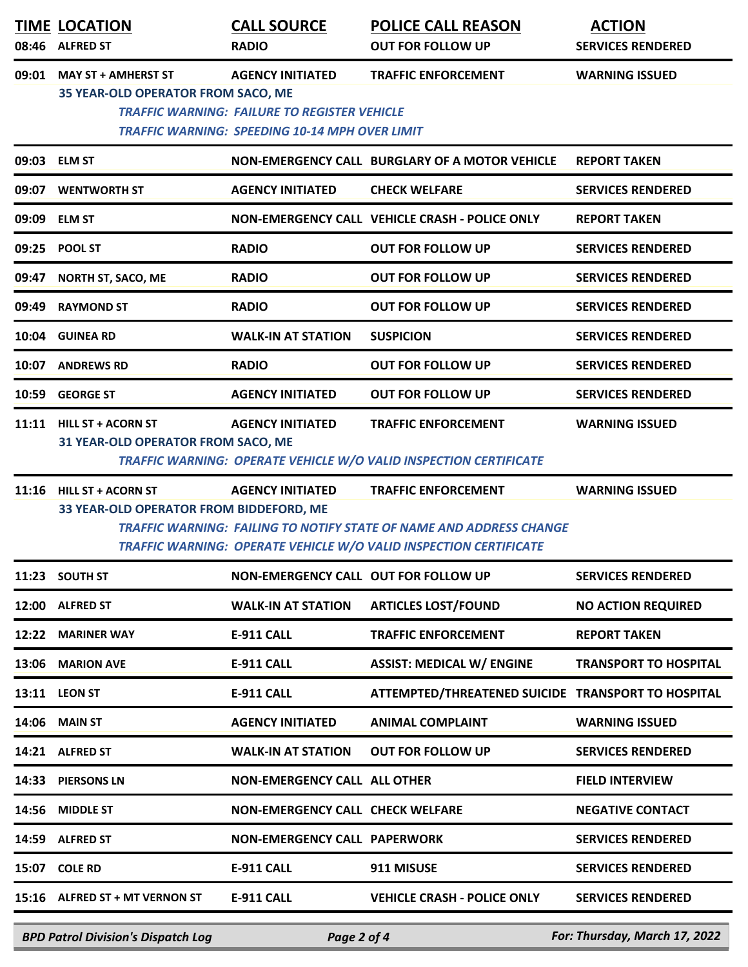|       | <b>TIME LOCATION</b><br>08:46 ALFRED ST                             | <b>CALL SOURCE</b><br><b>RADIO</b>                                                                                                      | <b>POLICE CALL REASON</b><br><b>OUT FOR FOLLOW UP</b>                                                                                                                         | <b>ACTION</b><br><b>SERVICES RENDERED</b> |
|-------|---------------------------------------------------------------------|-----------------------------------------------------------------------------------------------------------------------------------------|-------------------------------------------------------------------------------------------------------------------------------------------------------------------------------|-------------------------------------------|
| 09:01 | <b>MAY ST + AMHERST ST</b><br>35 YEAR-OLD OPERATOR FROM SACO, ME    | <b>AGENCY INITIATED</b><br><b>TRAFFIC WARNING: FAILURE TO REGISTER VEHICLE</b><br><b>TRAFFIC WARNING: SPEEDING 10-14 MPH OVER LIMIT</b> | <b>TRAFFIC ENFORCEMENT</b>                                                                                                                                                    | <b>WARNING ISSUED</b>                     |
|       | 09:03 ELM ST                                                        |                                                                                                                                         | NON-EMERGENCY CALL BURGLARY OF A MOTOR VEHICLE                                                                                                                                | <b>REPORT TAKEN</b>                       |
| 09:07 | <b>WENTWORTH ST</b>                                                 | <b>AGENCY INITIATED</b>                                                                                                                 | <b>CHECK WELFARE</b>                                                                                                                                                          | <b>SERVICES RENDERED</b>                  |
|       | 09:09 ELM ST                                                        |                                                                                                                                         | NON-EMERGENCY CALL VEHICLE CRASH - POLICE ONLY                                                                                                                                | <b>REPORT TAKEN</b>                       |
| 09:25 | <b>POOL ST</b>                                                      | <b>RADIO</b>                                                                                                                            | <b>OUT FOR FOLLOW UP</b>                                                                                                                                                      | <b>SERVICES RENDERED</b>                  |
| 09:47 | <b>NORTH ST, SACO, ME</b>                                           | <b>RADIO</b>                                                                                                                            | <b>OUT FOR FOLLOW UP</b>                                                                                                                                                      | <b>SERVICES RENDERED</b>                  |
| 09:49 | <b>RAYMOND ST</b>                                                   | <b>RADIO</b>                                                                                                                            | <b>OUT FOR FOLLOW UP</b>                                                                                                                                                      | <b>SERVICES RENDERED</b>                  |
| 10:04 | <b>GUINEA RD</b>                                                    | <b>WALK-IN AT STATION</b>                                                                                                               | <b>SUSPICION</b>                                                                                                                                                              | <b>SERVICES RENDERED</b>                  |
| 10:07 | <b>ANDREWS RD</b>                                                   | <b>RADIO</b>                                                                                                                            | <b>OUT FOR FOLLOW UP</b>                                                                                                                                                      | <b>SERVICES RENDERED</b>                  |
| 10:59 | <b>GEORGE ST</b>                                                    | <b>AGENCY INITIATED</b>                                                                                                                 | <b>OUT FOR FOLLOW UP</b>                                                                                                                                                      | <b>SERVICES RENDERED</b>                  |
|       | 11:11 HILL ST + ACORN ST<br>31 YEAR-OLD OPERATOR FROM SACO, ME      | <b>AGENCY INITIATED</b>                                                                                                                 | <b>TRAFFIC ENFORCEMENT</b><br>TRAFFIC WARNING: OPERATE VEHICLE W/O VALID INSPECTION CERTIFICATE                                                                               | <b>WARNING ISSUED</b>                     |
|       | 11:16 HILL ST + ACORN ST<br>33 YEAR-OLD OPERATOR FROM BIDDEFORD, ME | <b>AGENCY INITIATED</b>                                                                                                                 | <b>TRAFFIC ENFORCEMENT</b><br><b>TRAFFIC WARNING: FAILING TO NOTIFY STATE OF NAME AND ADDRESS CHANGE</b><br>TRAFFIC WARNING: OPERATE VEHICLE W/O VALID INSPECTION CERTIFICATE | <b>WARNING ISSUED</b>                     |
|       | 11:23 SOUTH ST                                                      | NON-EMERGENCY CALL OUT FOR FOLLOW UP                                                                                                    |                                                                                                                                                                               | <b>SERVICES RENDERED</b>                  |
|       | 12:00 ALFRED ST                                                     | <b>WALK-IN AT STATION</b>                                                                                                               | <b>ARTICLES LOST/FOUND</b>                                                                                                                                                    | <b>NO ACTION REQUIRED</b>                 |
|       | 12:22 MARINER WAY                                                   | <b>E-911 CALL</b>                                                                                                                       | <b>TRAFFIC ENFORCEMENT</b>                                                                                                                                                    | <b>REPORT TAKEN</b>                       |
|       | 13:06 MARION AVE                                                    | <b>E-911 CALL</b>                                                                                                                       | <b>ASSIST: MEDICAL W/ ENGINE</b>                                                                                                                                              | <b>TRANSPORT TO HOSPITAL</b>              |
|       | 13:11 LEON ST                                                       | <b>E-911 CALL</b>                                                                                                                       | ATTEMPTED/THREATENED SUICIDE TRANSPORT TO HOSPITAL                                                                                                                            |                                           |
|       | 14:06 MAIN ST                                                       | <b>AGENCY INITIATED</b>                                                                                                                 | <b>ANIMAL COMPLAINT</b>                                                                                                                                                       | <b>WARNING ISSUED</b>                     |
|       | 14:21 ALFRED ST                                                     | <b>WALK-IN AT STATION</b>                                                                                                               | <b>OUT FOR FOLLOW UP</b>                                                                                                                                                      | <b>SERVICES RENDERED</b>                  |
|       | 14:33 PIERSONS LN                                                   | <b>NON-EMERGENCY CALL ALL OTHER</b>                                                                                                     |                                                                                                                                                                               | <b>FIELD INTERVIEW</b>                    |
|       | 14:56 MIDDLE ST                                                     | NON-EMERGENCY CALL CHECK WELFARE                                                                                                        |                                                                                                                                                                               | <b>NEGATIVE CONTACT</b>                   |
|       | 14:59 ALFRED ST                                                     | <b>NON-EMERGENCY CALL PAPERWORK</b>                                                                                                     |                                                                                                                                                                               | <b>SERVICES RENDERED</b>                  |
|       | 15:07 COLE RD                                                       | E-911 CALL                                                                                                                              | 911 MISUSE                                                                                                                                                                    | <b>SERVICES RENDERED</b>                  |
|       | 15:16 ALFRED ST + MT VERNON ST                                      | <b>E-911 CALL</b>                                                                                                                       | <b>VEHICLE CRASH - POLICE ONLY</b>                                                                                                                                            | <b>SERVICES RENDERED</b>                  |
|       | <b>BPD Patrol Division's Dispatch Log</b>                           | Page 2 of 4                                                                                                                             |                                                                                                                                                                               | For: Thursday, March 17, 2022             |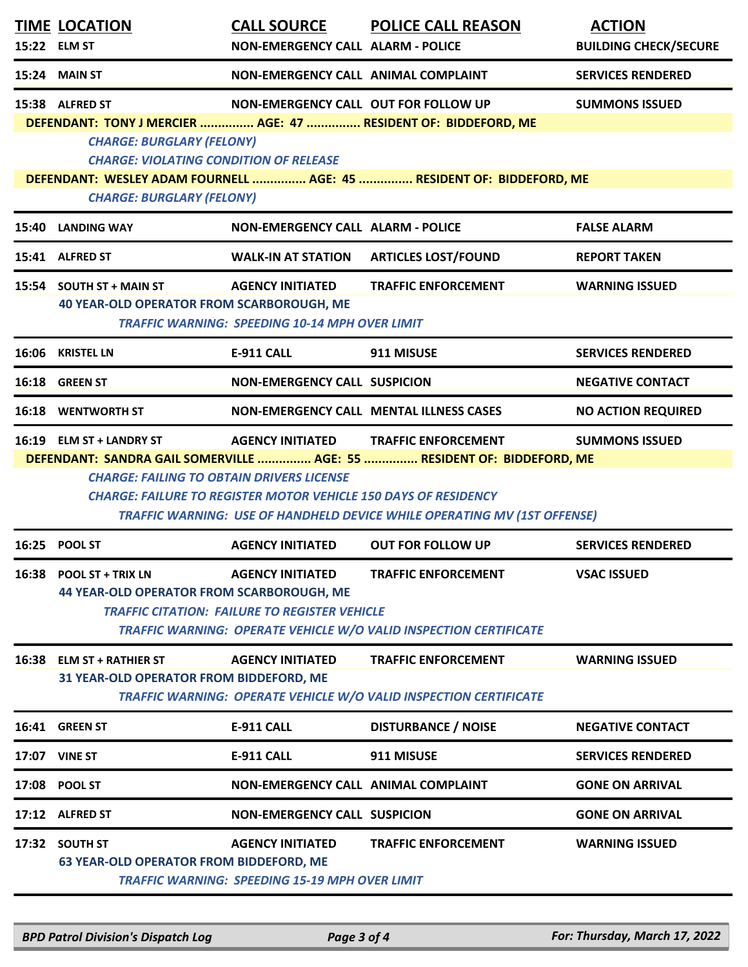|       | <b>TIME LOCATION</b><br>15:22 ELM ST                                                                                                                                                                                                                                                                                                                                                                  | <b>CALL SOURCE</b><br><b>NON-EMERGENCY CALL ALARM - POLICE</b>                   | <b>POLICE CALL REASON</b>                                                                                                              | <b>ACTION</b><br><b>BUILDING CHECK/SECURE</b> |  |
|-------|-------------------------------------------------------------------------------------------------------------------------------------------------------------------------------------------------------------------------------------------------------------------------------------------------------------------------------------------------------------------------------------------------------|----------------------------------------------------------------------------------|----------------------------------------------------------------------------------------------------------------------------------------|-----------------------------------------------|--|
|       | <b>15:24 MAIN ST</b>                                                                                                                                                                                                                                                                                                                                                                                  | NON-EMERGENCY CALL ANIMAL COMPLAINT                                              |                                                                                                                                        | <b>SERVICES RENDERED</b>                      |  |
|       | 15:38 ALFRED ST<br><b>CHARGE: BURGLARY (FELONY)</b><br><b>CHARGE: VIOLATING CONDITION OF RELEASE</b>                                                                                                                                                                                                                                                                                                  | <b>NON-EMERGENCY CALL OUT FOR FOLLOW UP</b>                                      | DEFENDANT: TONY J MERCIER  AGE: 47  RESIDENT OF: BIDDEFORD, ME<br>DEFENDANT: WESLEY ADAM FOURNELL  AGE: 45  RESIDENT OF: BIDDEFORD, ME | <b>SUMMONS ISSUED</b>                         |  |
|       | <b>CHARGE: BURGLARY (FELONY)</b><br>15:40 LANDING WAY                                                                                                                                                                                                                                                                                                                                                 | <b>NON-EMERGENCY CALL ALARM - POLICE</b>                                         |                                                                                                                                        | <b>FALSE ALARM</b>                            |  |
|       | 15:41 ALFRED ST                                                                                                                                                                                                                                                                                                                                                                                       | <b>WALK-IN AT STATION</b>                                                        | <b>ARTICLES LOST/FOUND</b>                                                                                                             | <b>REPORT TAKEN</b>                           |  |
|       | 15:54 SOUTH ST + MAIN ST<br><b>40 YEAR-OLD OPERATOR FROM SCARBOROUGH, ME</b>                                                                                                                                                                                                                                                                                                                          | <b>AGENCY INITIATED</b><br><b>TRAFFIC WARNING: SPEEDING 10-14 MPH OVER LIMIT</b> | <b>TRAFFIC ENFORCEMENT</b>                                                                                                             | <b>WARNING ISSUED</b>                         |  |
|       | 16:06 KRISTEL LN                                                                                                                                                                                                                                                                                                                                                                                      | <b>E-911 CALL</b>                                                                | 911 MISUSE                                                                                                                             | <b>SERVICES RENDERED</b>                      |  |
|       | 16:18 GREEN ST                                                                                                                                                                                                                                                                                                                                                                                        | <b>NON-EMERGENCY CALL SUSPICION</b>                                              |                                                                                                                                        | <b>NEGATIVE CONTACT</b>                       |  |
|       | <b>16:18 WENTWORTH ST</b>                                                                                                                                                                                                                                                                                                                                                                             |                                                                                  | <b>NON-EMERGENCY CALL MENTAL ILLNESS CASES</b>                                                                                         | <b>NO ACTION REQUIRED</b>                     |  |
|       | 16:19 ELM ST + LANDRY ST<br><b>AGENCY INITIATED</b><br><b>TRAFFIC ENFORCEMENT</b><br><b>SUMMONS ISSUED</b><br>DEFENDANT: SANDRA GAIL SOMERVILLE  AGE: 55  RESIDENT OF: BIDDEFORD, ME<br><b>CHARGE: FAILING TO OBTAIN DRIVERS LICENSE</b><br><b>CHARGE: FAILURE TO REGISTER MOTOR VEHICLE 150 DAYS OF RESIDENCY</b><br><b>TRAFFIC WARNING: USE OF HANDHELD DEVICE WHILE OPERATING MV (1ST OFFENSE)</b> |                                                                                  |                                                                                                                                        |                                               |  |
|       | 16:25 POOL ST                                                                                                                                                                                                                                                                                                                                                                                         | <b>AGENCY INITIATED</b>                                                          | <b>OUT FOR FOLLOW UP</b>                                                                                                               | <b>SERVICES RENDERED</b>                      |  |
|       | 16:38 POOL ST + TRIX LN<br><b>44 YEAR-OLD OPERATOR FROM SCARBOROUGH, ME</b>                                                                                                                                                                                                                                                                                                                           | <b>AGENCY INITIATED</b><br><b>TRAFFIC CITATION: FAILURE TO REGISTER VEHICLE</b>  | <b>TRAFFIC ENFORCEMENT</b><br>TRAFFIC WARNING: OPERATE VEHICLE W/O VALID INSPECTION CERTIFICATE                                        | <b>VSAC ISSUED</b>                            |  |
| 16:38 | <b>ELM ST + RATHIER ST</b><br>31 YEAR-OLD OPERATOR FROM BIDDEFORD, ME                                                                                                                                                                                                                                                                                                                                 | <b>AGENCY INITIATED</b>                                                          | <b>TRAFFIC ENFORCEMENT</b><br><b>TRAFFIC WARNING: OPERATE VEHICLE W/O VALID INSPECTION CERTIFICATE</b>                                 | <b>WARNING ISSUED</b>                         |  |
|       | 16:41 GREEN ST                                                                                                                                                                                                                                                                                                                                                                                        | E-911 CALL                                                                       | <b>DISTURBANCE / NOISE</b>                                                                                                             | <b>NEGATIVE CONTACT</b>                       |  |
|       | <b>17:07 VINE ST</b>                                                                                                                                                                                                                                                                                                                                                                                  | <b>E-911 CALL</b>                                                                | 911 MISUSE                                                                                                                             | <b>SERVICES RENDERED</b>                      |  |
|       | 17:08 POOL ST                                                                                                                                                                                                                                                                                                                                                                                         | NON-EMERGENCY CALL ANIMAL COMPLAINT                                              |                                                                                                                                        | <b>GONE ON ARRIVAL</b>                        |  |
|       | 17:12 ALFRED ST                                                                                                                                                                                                                                                                                                                                                                                       | <b>NON-EMERGENCY CALL SUSPICION</b>                                              |                                                                                                                                        | <b>GONE ON ARRIVAL</b>                        |  |
| 17:32 | <b>SOUTH ST</b><br><b>63 YEAR-OLD OPERATOR FROM BIDDEFORD, ME</b>                                                                                                                                                                                                                                                                                                                                     | <b>AGENCY INITIATED</b><br><b>TRAFFIC WARNING: SPEEDING 15-19 MPH OVER LIMIT</b> | <b>TRAFFIC ENFORCEMENT</b>                                                                                                             | <b>WARNING ISSUED</b>                         |  |